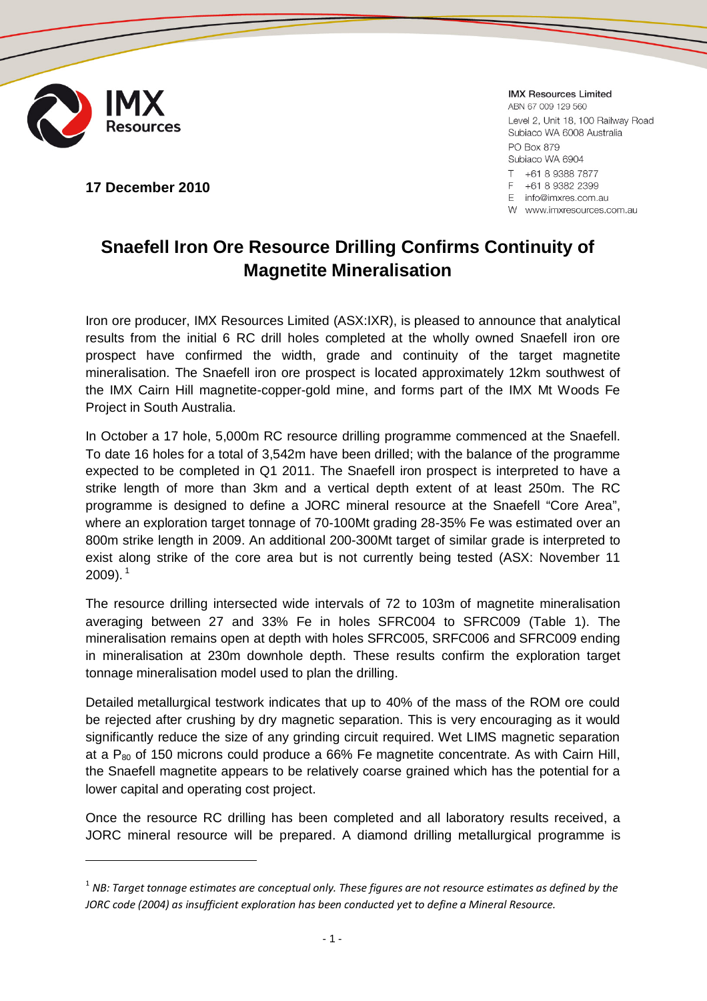

**IMX Resources Limited** 

+61 8 9382 2399 E info@imxres.com.au W www.imxresources.com.au

E

ABN 67 009 129 560 Level 2, Unit 18, 100 Railway Road Subiaco WA 6008 Australia PO Box 879 Subiaco WA 6904  $\top$ +61 8 9388 7877

**17 December 2010**

**Snaefell Iron Ore Resource Drilling Confirms Continuity of**

Iron ore producer, IMX Resources Limited (ASX:IXR), is pleased to announce that analytical results from the initial 6 RC drill holes completed at the wholly owned Snaefell iron ore prospect have confirmed the width, grade and continuity of the target magnetite mineralisation. The Snaefell iron ore prospect is located approximately 12km southwest of the IMX Cairn Hill magnetite-copper-gold mine, and forms part of the IMX Mt Woods Fe Project in South Australia.

**Magnetite Mineralisation**

In October a 17 hole, 5,000m RC resource drilling programme commenced at the Snaefell. To date 16 holes for a total of 3,542m have been drilled; with the balance of the programme expected to be completed in Q1 2011. The Snaefell iron prospect is interpreted to have a strike length of more than 3km and a vertical depth extent of at least 250m. The RC programme is designed to define a JORC mineral resource at the Snaefell "Core Area", where an exploration target tonnage of 70-100Mt grading 28-35% Fe was estimated over an 800m strike length in 2009. An additional 200-300Mt target of similar grade is interpreted to exist along strike of the core area but is not currently being tested (ASX: November 11  $2009$ ).  $^1$ 

The resource drilling intersected wide intervals of 72 to 103m of magnetite mineralisation averaging between 27 and 33% Fe in holes SFRC004 to SFRC009 (Table 1). The mineralisation remains open at depth with holes SFRC005, SRFC006 and SFRC009 ending in mineralisation at 230m downhole depth. These results confirm the exploration target tonnage mineralisation model used to plan the drilling.

Detailed metallurgical testwork indicates that up to 40% of the mass of the ROM ore could be rejected after crushing by dry magnetic separation. This is very encouraging as it would significantly reduce the size of any grinding circuit required. Wet LIMS magnetic separation at a  $P_{80}$  of 150 microns could produce a 66% Fe magnetite concentrate. As with Cairn Hill, the Snaefell magnetite appears to be relatively coarse grained which has the potential for a lower capital and operating cost project.

Once the resource RC drilling has been completed and all laboratory results received, a JORC mineral resource will be prepared. A diamond drilling metallurgical programme is

<sup>1</sup> *NB: Target tonnage estimates are conceptual only. These figures are not resource estimates as defined by the JORC code (2004) as insufficient exploration has been conducted yet to define a Mineral Resource.*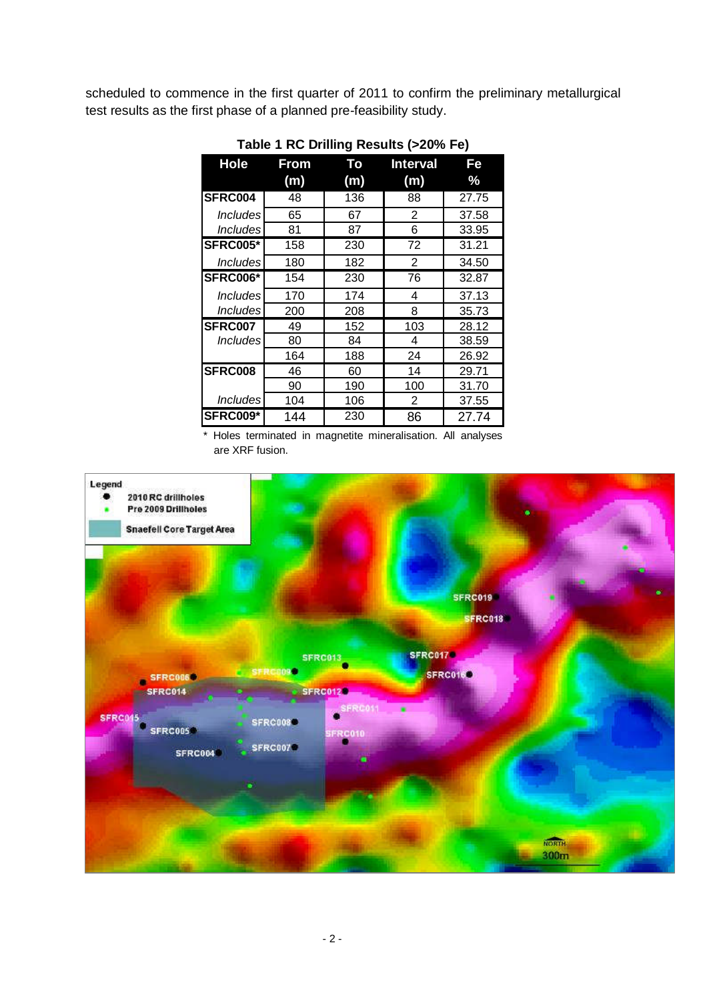scheduled to commence in the first quarter of 2011 to confirm the preliminary metallurgical test results as the first phase of a planned pre-feasibility study.

| <b>Hole</b>                   | <b>From</b> | Тο  | <b>Interval</b> | Fe            |
|-------------------------------|-------------|-----|-----------------|---------------|
|                               | (m)         | (m) | (m)             | $\frac{9}{6}$ |
| SFRC004                       | 48          | 136 | 88              | 27.75         |
| <i><u><b>Includes</b></u></i> | 65          | 67  | 2               | 37.58         |
| <i><u><b>Includes</b></u></i> | 81          | 87  | 6               | 33.95         |
| <b>SFRC005*</b>               | 158         | 230 | 72              | 31.21         |
| <i><u><b>Includes</b></u></i> | 180         | 182 | 2               | 34.50         |
| <b>SFRC006*</b>               | 154         | 230 | 76              | 32.87         |
| <i><u><b>Includes</b></u></i> | 170         | 174 | 4               | 37.13         |
| <i><b>Includes</b></i>        | 200         | 208 | 8               | 35.73         |
| SFRC007                       | 49          | 152 | 103             | 28.12         |
| Includes                      | 80          | 84  | 4               | 38.59         |
|                               | 164         | 188 | 24              | 26.92         |
| SFRC008                       | 46          | 60  | 14              | 29.71         |
|                               | 90          | 190 | 100             | 31.70         |
| <i><b>Includes</b></i>        | 104         | 106 | 2               | 37.55         |
| <b>SFRC009*</b>               | 144         | 230 | 86              | 27.74         |

**Table 1 RC Drilling Results (>20% Fe)**

\* Holes terminated in magnetite mineralisation. All analyses are XRF fusion.

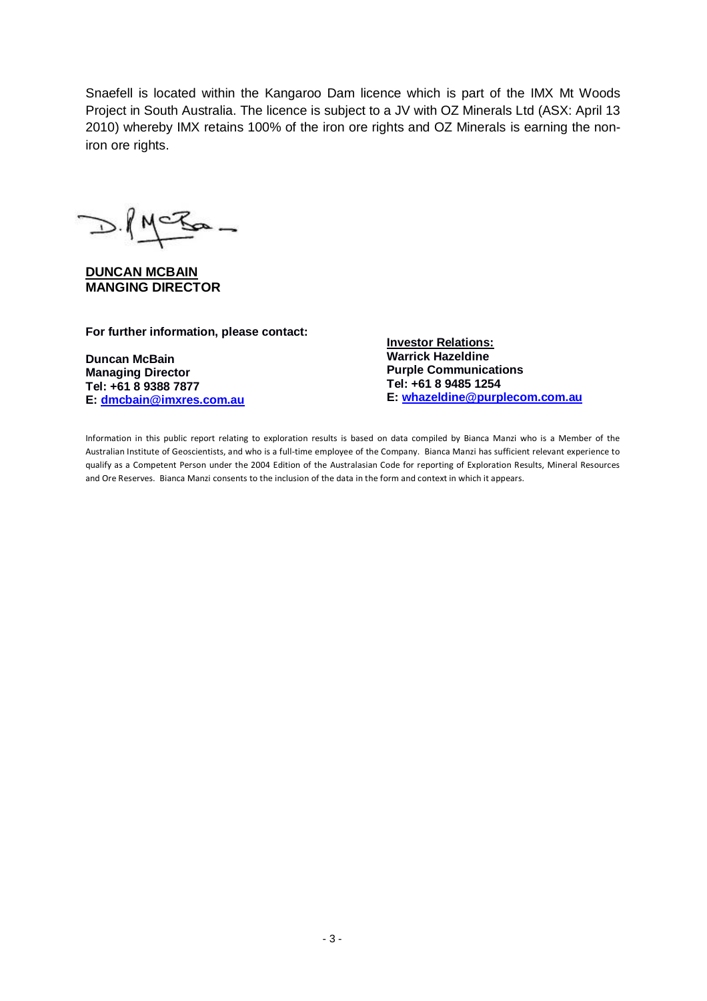Snaefell is located within the Kangaroo Dam licence which is part of the IMX Mt Woods Project in South Australia. The licence is subject to a JV with OZ Minerals Ltd (ASX: April 13 2010) whereby IMX retains 100% of the iron ore rights and OZ Minerals is earning the noniron ore rights.

 $D.MCZ =$ 

**DUNCAN MCBAIN MANGING DIRECTOR**

**For further information, please contact:**

**Duncan McBain Managing Director Tel: +61 8 9388 7877 E: dmcbain@imxres.com.au** **Investor Relations: Warrick Hazeldine Purple Communications Tel: +61 8 9485 1254 E: whazeldine@purplecom.com.au**

Information in this public report relating to exploration results is based on data compiled by Bianca Manzi who is a Member of the Australian Institute of Geoscientists, and who is a full-time employee of the Company. Bianca Manzi has sufficient relevant experience to qualify as a Competent Person under the 2004 Edition of the Australasian Code for reporting of Exploration Results, Mineral Resources and Ore Reserves. Bianca Manzi consents to the inclusion of the data in the form and context in which it appears.